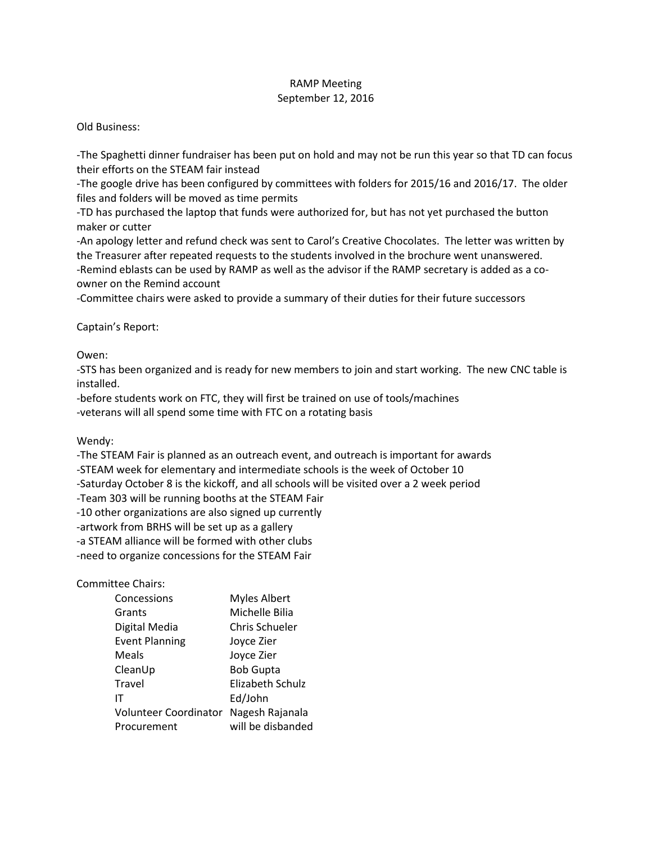## RAMP Meeting September 12, 2016

Old Business:

-The Spaghetti dinner fundraiser has been put on hold and may not be run this year so that TD can focus their efforts on the STEAM fair instead

-The google drive has been configured by committees with folders for 2015/16 and 2016/17. The older files and folders will be moved as time permits

-TD has purchased the laptop that funds were authorized for, but has not yet purchased the button maker or cutter

-An apology letter and refund check was sent to Carol's Creative Chocolates. The letter was written by the Treasurer after repeated requests to the students involved in the brochure went unanswered. -Remind eblasts can be used by RAMP as well as the advisor if the RAMP secretary is added as a coowner on the Remind account

-Committee chairs were asked to provide a summary of their duties for their future successors

Captain's Report:

Owen:

-STS has been organized and is ready for new members to join and start working. The new CNC table is installed.

-before students work on FTC, they will first be trained on use of tools/machines -veterans will all spend some time with FTC on a rotating basis

Wendy:

-The STEAM Fair is planned as an outreach event, and outreach is important for awards

-STEAM week for elementary and intermediate schools is the week of October 10

-Saturday October 8 is the kickoff, and all schools will be visited over a 2 week period

-Team 303 will be running booths at the STEAM Fair

-10 other organizations are also signed up currently

-artwork from BRHS will be set up as a gallery

-a STEAM alliance will be formed with other clubs

-need to organize concessions for the STEAM Fair

Committee Chairs:

| Concessions           | <b>Myles Albert</b> |
|-----------------------|---------------------|
| Grants                | Michelle Bilia      |
| Digital Media         | Chris Schueler      |
| <b>Event Planning</b> | Joyce Zier          |
| Meals                 | Joyce Zier          |
| CleanUp               | <b>Bob Gupta</b>    |
| Travel                | Elizabeth Schulz    |
| ıτ                    | Ed/John             |
| Volunteer Coordinator | Nagesh Rajanala     |
| Procurement           | will be disbanded   |